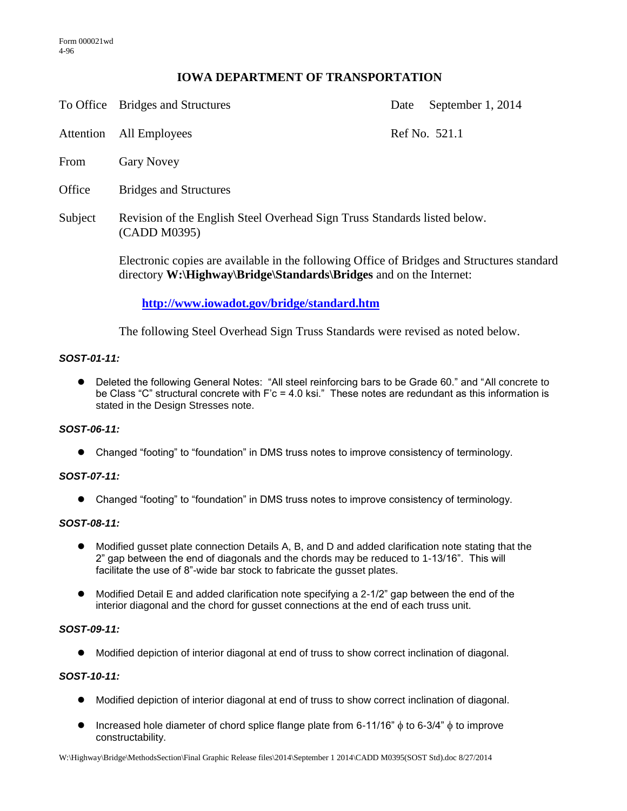# **IOWA DEPARTMENT OF TRANSPORTATION**

To Office Bridges and Structures Date September 1, 2014

Attention All Employees Ref No. 521.1

- From Gary Novey
- Office Bridges and Structures
- Subject Revision of the English Steel Overhead Sign Truss Standards listed below. (CADD M0395)

Electronic copies are available in the following Office of Bridges and Structures standard directory **W:\Highway\Bridge\Standards\Bridges** and on the Internet:

# **<http://www.iowadot.gov/bridge/standard.htm>**

The following Steel Overhead Sign Truss Standards were revised as noted below.

# *SOST-01-11:*

 Deleted the following General Notes: "All steel reinforcing bars to be Grade 60." and "All concrete to be Class "C" structural concrete with F'c = 4.0 ksi." These notes are redundant as this information is stated in the Design Stresses note.

### *SOST-06-11:*

Changed "footing" to "foundation" in DMS truss notes to improve consistency of terminology.

### *SOST-07-11:*

Changed "footing" to "foundation" in DMS truss notes to improve consistency of terminology.

### *SOST-08-11:*

- Modified gusset plate connection Details A, B, and D and added clarification note stating that the 2" gap between the end of diagonals and the chords may be reduced to 1-13/16". This will facilitate the use of 8"-wide bar stock to fabricate the gusset plates.
- Modified Detail E and added clarification note specifying a 2-1/2" gap between the end of the interior diagonal and the chord for gusset connections at the end of each truss unit.

### *SOST-09-11:*

Modified depiction of interior diagonal at end of truss to show correct inclination of diagonal.

# *SOST-10-11:*

- Modified depiction of interior diagonal at end of truss to show correct inclination of diagonal.
- Increased hole diameter of chord splice flange plate from 6-11/16"  $\phi$  to 6-3/4"  $\phi$  to improve constructability.

W:\Highway\Bridge\MethodsSection\Final Graphic Release files\2014\September 1 2014\CADD M0395(SOST Std).doc 8/27/2014